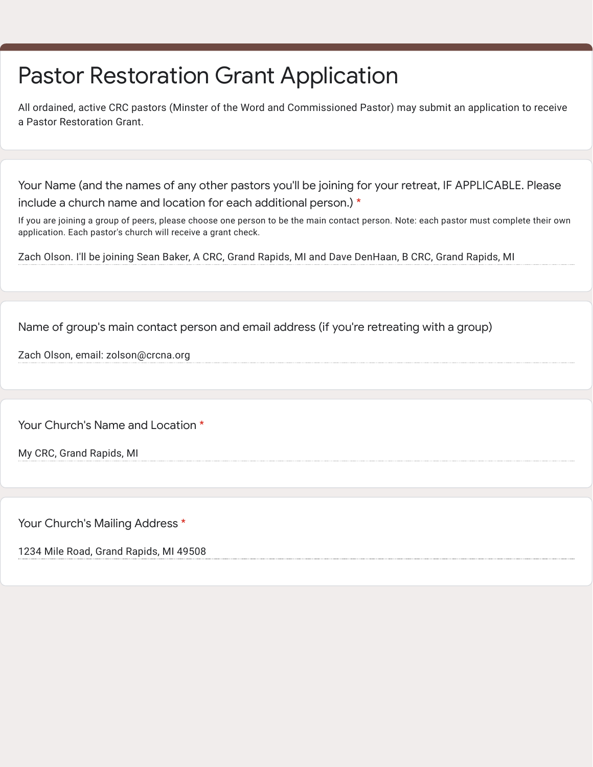## Pastor Restoration Grant Application

All ordained, active CRC pastors (Minster of the Word and Commissioned Pastor) may submit an application to receive a Pastor Restoration Grant.

Your Name (and the names of any other pastors you'll be joining for your retreat, IF APPLICABLE. Please include a church name and location for each additional person.) \*

If you are joining a group of peers, please choose one person to be the main contact person. Note: each pastor must complete their own application. Each pastor's church will receive a grant check.

Zach Olson. I'll be joining Sean Baker, A CRC, Grand Rapids, MI and Dave DenHaan, B CRC, Grand Rapids, MI

Name of group's main contact person and email address (if you're retreating with a group)

Zach Olson, email: zolson@crcna.org

Your Church's Name and Location \*

My CRC, Grand Rapids, MI

Your Church's Mailing Address \*

1234 Mile Road, Grand Rapids, MI 49508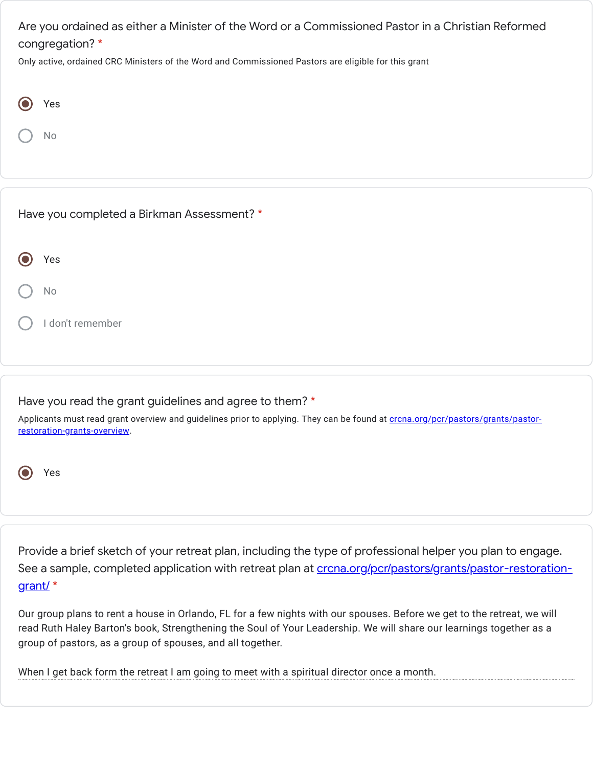Are you ordained as either a Minister of the Word or a Commissioned Pastor in a Christian Reformed congregation? \*

Only active, ordained CRC Ministers of the Word and Commissioned Pastors are eligible for this grant

| Yes                                                                                                                                                             |                                                                                                                         |
|-----------------------------------------------------------------------------------------------------------------------------------------------------------------|-------------------------------------------------------------------------------------------------------------------------|
| No                                                                                                                                                              |                                                                                                                         |
|                                                                                                                                                                 |                                                                                                                         |
|                                                                                                                                                                 |                                                                                                                         |
| Have you completed a Birkman Assessment? *                                                                                                                      |                                                                                                                         |
| Yes                                                                                                                                                             |                                                                                                                         |
| No                                                                                                                                                              |                                                                                                                         |
| I don't remember                                                                                                                                                |                                                                                                                         |
|                                                                                                                                                                 |                                                                                                                         |
|                                                                                                                                                                 |                                                                                                                         |
| Have you read the grant guidelines and agree to them? *                                                                                                         |                                                                                                                         |
| Applicants must read grant overview and guidelines prior to applying. They can be found at crcna.org/pcr/pastors/grants/pastor-<br>restoration-grants-overview. |                                                                                                                         |
|                                                                                                                                                                 |                                                                                                                         |
| Yes                                                                                                                                                             |                                                                                                                         |
|                                                                                                                                                                 |                                                                                                                         |
|                                                                                                                                                                 |                                                                                                                         |
|                                                                                                                                                                 |                                                                                                                         |
|                                                                                                                                                                 | Provide a brief sketch of your retreat plan, including the type of professional helper you plan to engage.              |
|                                                                                                                                                                 | See a sample, completed application with retreat plan at crcna.org/pcr/pastors/grants/pastor-restoration-               |
| grant/*                                                                                                                                                         |                                                                                                                         |
|                                                                                                                                                                 | Our group plans to rent a house in Orlando, FL for a few nights with our spouses. Before we get to the retreat, we will |
| group of pastors, as a group of spouses, and all together.                                                                                                      | read Ruth Haley Barton's book, Strengthening the Soul of Your Leadership. We will share our learnings together as a     |
| When I get back form the retreat I am going to meet with a spiritual director once a month.                                                                     |                                                                                                                         |